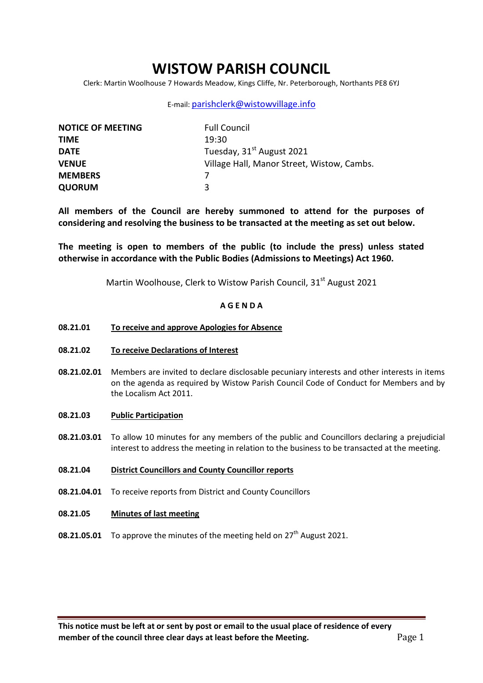# **WISTOW PARISH COUNCIL**

Clerk: Martin Woolhouse 7 Howards Meadow, Kings Cliffe, Nr. Peterborough, Northants PE8 6YJ

## E-mail: [parishclerk@wistowvillage.info](mailto:parishclerk@wistowvillage.info)

| <b>NOTICE OF MEETING</b> | <b>Full Council</b>                        |
|--------------------------|--------------------------------------------|
| <b>TIME</b>              | 19:30                                      |
| <b>DATE</b>              | Tuesday, 31 <sup>st</sup> August 2021      |
| <b>VENUE</b>             | Village Hall, Manor Street, Wistow, Cambs. |
| <b>MEMBERS</b>           |                                            |
| <b>QUORUM</b>            | ₹                                          |

**All members of the Council are hereby summoned to attend for the purposes of considering and resolving the business to be transacted at the meeting as set out below.** 

**The meeting is open to members of the public (to include the press) unless stated otherwise in accordance with the Public Bodies (Admissions to Meetings) Act 1960.**

Martin Woolhouse, Clerk to Wistow Parish Council, 31<sup>st</sup> August 2021

# **A G E N D A**

### **08.21.01 To receive and approve Apologies for Absence**

- **08.21.02 To receive Declarations of Interest**
- **08.21.02.01** Members are invited to declare disclosable pecuniary interests and other interests in items on the agenda as required by Wistow Parish Council Code of Conduct for Members and by the Localism Act 2011.
- **08.21.03 Public Participation**
- **08.21.03.01** To allow 10 minutes for any members of the public and Councillors declaring a prejudicial interest to address the meeting in relation to the business to be transacted at the meeting.
- **08.21.04 District Councillors and County Councillor reports**
- **08.21.04.01** To receive reports from District and County Councillors
- **08.21.05 Minutes of last meeting**
- **08.21.05.01** To approve the minutes of the meeting held on 27<sup>th</sup> August 2021.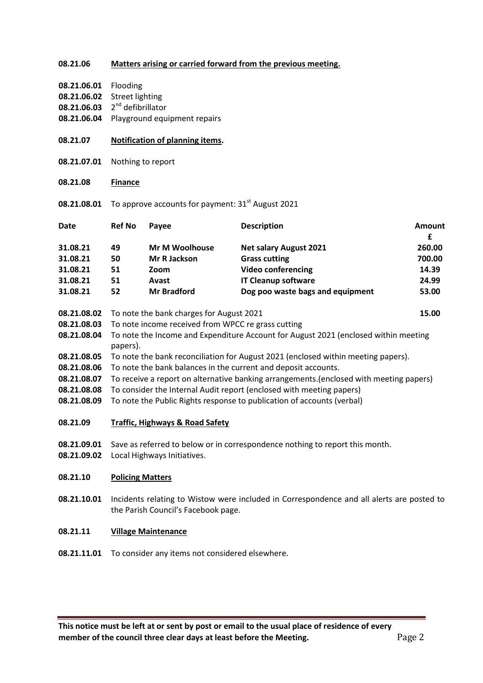## **08.21.06 Matters arising or carried forward from the previous meeting.**

**08.21.06.01** Flooding **08.21.06.02** Street lighting 08.21.06.03 2<sup>nd</sup> defibrillator

**08.21.06.04** Playground equipment repairs

| 08.21.07                   | <b>Notification of planning items.</b>                                                                                                         |                       |                                  |                    |  |
|----------------------------|------------------------------------------------------------------------------------------------------------------------------------------------|-----------------------|----------------------------------|--------------------|--|
| 08.21.07.01                | Nothing to report                                                                                                                              |                       |                                  |                    |  |
| 08.21.08                   | <b>Finance</b>                                                                                                                                 |                       |                                  |                    |  |
| 08.21.08.01                | To approve accounts for payment: 31 <sup>st</sup> August 2021                                                                                  |                       |                                  |                    |  |
| <b>Date</b>                | <b>Ref No</b>                                                                                                                                  | Payee                 | <b>Description</b>               | <b>Amount</b><br>£ |  |
| 31.08.21                   | 49                                                                                                                                             | <b>Mr M Woolhouse</b> | <b>Net salary August 2021</b>    | 260.00             |  |
| 31.08.21                   | 50                                                                                                                                             | <b>Mr R Jackson</b>   | <b>Grass cutting</b>             | 700.00             |  |
| 31.08.21                   | 51                                                                                                                                             | Zoom                  | <b>Video conferencing</b>        | 14.39              |  |
| 31.08.21                   | 51                                                                                                                                             | Avast                 | <b>IT Cleanup software</b>       | 24.99              |  |
| 31.08.21                   | 52                                                                                                                                             | <b>Mr Bradford</b>    | Dog poo waste bags and equipment | 53.00              |  |
| 08.21.08.02                | To note the bank charges for August 2021<br>15.00                                                                                              |                       |                                  |                    |  |
| 08.21.08.03                | To note income received from WPCC re grass cutting                                                                                             |                       |                                  |                    |  |
| 08.21.08.04                | To note the Income and Expenditure Account for August 2021 (enclosed within meeting<br>papers).                                                |                       |                                  |                    |  |
| 08.21.08.05                | To note the bank reconciliation for August 2021 (enclosed within meeting papers).                                                              |                       |                                  |                    |  |
| 08.21.08.06                | To note the bank balances in the current and deposit accounts.                                                                                 |                       |                                  |                    |  |
| 08.21.08.07                | To receive a report on alternative banking arrangements. (enclosed with meeting papers)                                                        |                       |                                  |                    |  |
| 08.21.08.08<br>08.21.08.09 | To consider the Internal Audit report (enclosed with meeting papers)<br>To note the Public Rights response to publication of accounts (verbal) |                       |                                  |                    |  |
| 08.21.09                   | <b>Traffic, Highways &amp; Road Safety</b>                                                                                                     |                       |                                  |                    |  |
| 08.21.09.01<br>08.21.09.02 | Save as referred to below or in correspondence nothing to report this month.<br>Local Highways Initiatives.                                    |                       |                                  |                    |  |
| 08.21.10                   | <b>Policing Matters</b>                                                                                                                        |                       |                                  |                    |  |
| 08.21.10.01                | Incidents relating to Wistow were included in Correspondence and all alerts are posted to<br>the Parish Council's Facebook page.               |                       |                                  |                    |  |

#### **08.21.11 Village Maintenance**

**08.21.11.01** To consider any items not considered elsewhere.